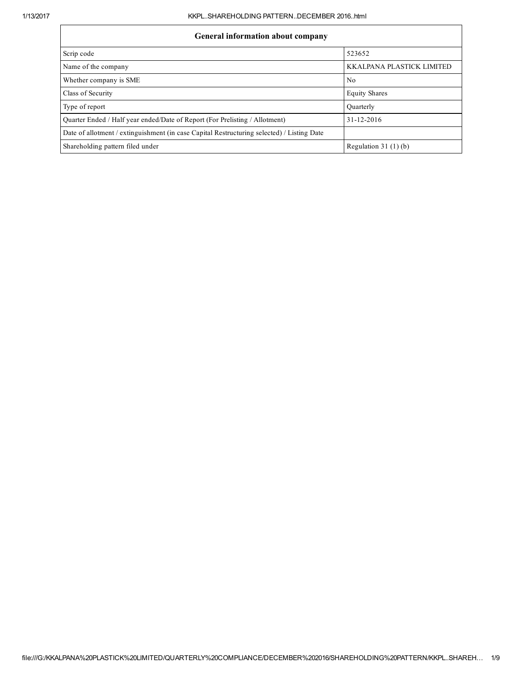## General information about company

| General hilorination about company                                                         |                           |  |  |  |  |  |  |
|--------------------------------------------------------------------------------------------|---------------------------|--|--|--|--|--|--|
| Scrip code                                                                                 | 523652                    |  |  |  |  |  |  |
| Name of the company                                                                        | KKALPANA PLASTICK LIMITED |  |  |  |  |  |  |
| Whether company is SME                                                                     | No.                       |  |  |  |  |  |  |
| Class of Security                                                                          | <b>Equity Shares</b>      |  |  |  |  |  |  |
| Type of report                                                                             | Ouarterly                 |  |  |  |  |  |  |
| Quarter Ended / Half year ended/Date of Report (For Prelisting / Allotment)                | 31-12-2016                |  |  |  |  |  |  |
| Date of allotment / extinguishment (in case Capital Restructuring selected) / Listing Date |                           |  |  |  |  |  |  |
| Shareholding pattern filed under                                                           | Regulation $31(1)(b)$     |  |  |  |  |  |  |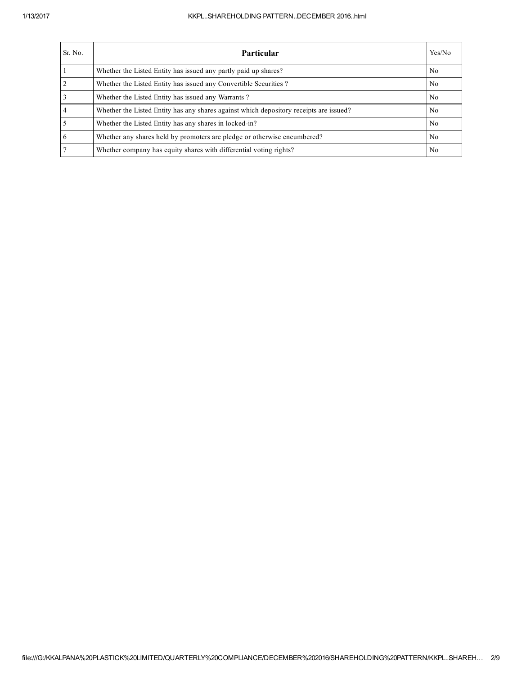## 1/13/2017 KKPL..SHAREHOLDING PATTERN..DECEMBER 2016..html

| Sr. No. | <b>Particular</b>                                                                      | Yes/No         |
|---------|----------------------------------------------------------------------------------------|----------------|
|         | Whether the Listed Entity has issued any partly paid up shares?                        | N <sub>0</sub> |
|         | Whether the Listed Entity has issued any Convertible Securities?                       | N <sub>0</sub> |
|         | Whether the Listed Entity has issued any Warrants?                                     | N <sub>0</sub> |
|         | Whether the Listed Entity has any shares against which depository receipts are issued? | N <sub>0</sub> |
|         | Whether the Listed Entity has any shares in locked-in?                                 | N <sub>0</sub> |
| 6       | Whether any shares held by promoters are pledge or otherwise encumbered?               | N <sub>0</sub> |
|         | Whether company has equity shares with differential voting rights?                     | No             |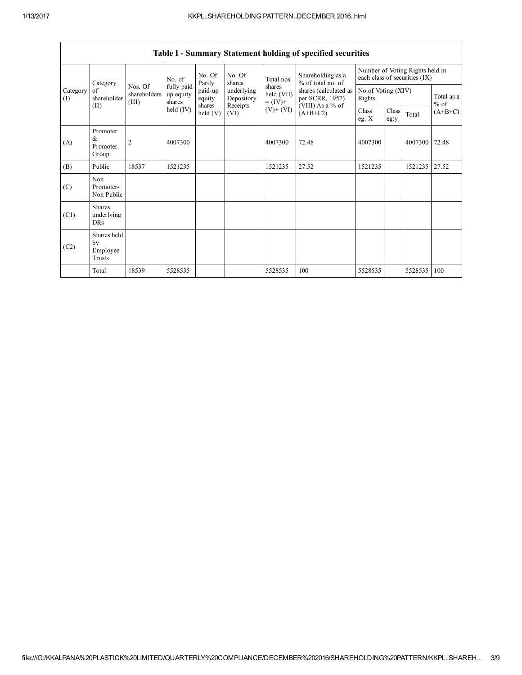|                 | Category                                  |                                  | No. of                            | No. Of<br>Partly     | No. Of<br>shares         | Total nos.                         | Shareholding as a<br>% of total no. of<br>shares (calculated as<br>per SCRR, 1957)<br>(VIII) As a % of<br>$(A+B+C2)$ | Number of Voting Rights held in<br>each class of securities (IX) |               |         |                     |
|-----------------|-------------------------------------------|----------------------------------|-----------------------------------|----------------------|--------------------------|------------------------------------|----------------------------------------------------------------------------------------------------------------------|------------------------------------------------------------------|---------------|---------|---------------------|
| Category<br>(I) | of<br>shareholder                         | Nos. Of<br>shareholders<br>(III) | fully paid<br>up equity<br>shares | paid-up<br>equity    | underlying<br>Depository | shares<br>held (VII)<br>$= (IV) +$ |                                                                                                                      | No of Voting (XIV)<br>Rights                                     |               |         | Total as a          |
|                 | (II)                                      |                                  | held $(IV)$                       | shares<br>held $(V)$ | Receipts<br>(VI)         | $(V)$ + $(VI)$                     |                                                                                                                      | Class<br>eg: X                                                   | Class<br>eg:y | Total   | $%$ of<br>$(A+B+C)$ |
| (A)             | Promoter<br>&<br>Promoter<br>Group        | 2                                | 4007300                           |                      |                          | 4007300                            | 72.48                                                                                                                | 4007300                                                          |               | 4007300 | 72.48               |
| (B)             | Public                                    | 18537                            | 1521235                           |                      |                          | 1521235                            | 27.52                                                                                                                | 1521235                                                          |               | 1521235 | 27.52               |
| (C)             | Non<br>Promoter-<br>Non Public            |                                  |                                   |                      |                          |                                    |                                                                                                                      |                                                                  |               |         |                     |
| (C1)            | <b>Shares</b><br>underlying<br><b>DRs</b> |                                  |                                   |                      |                          |                                    |                                                                                                                      |                                                                  |               |         |                     |
| (C2)            | Shares held<br>by<br>Employee<br>Trusts   |                                  |                                   |                      |                          |                                    |                                                                                                                      |                                                                  |               |         |                     |
|                 | Total                                     | 18539                            | 5528535                           |                      |                          | 5528535                            | 100                                                                                                                  | 5528535                                                          |               | 5528535 | 100                 |

Table I - Summary Statement holding of specified securities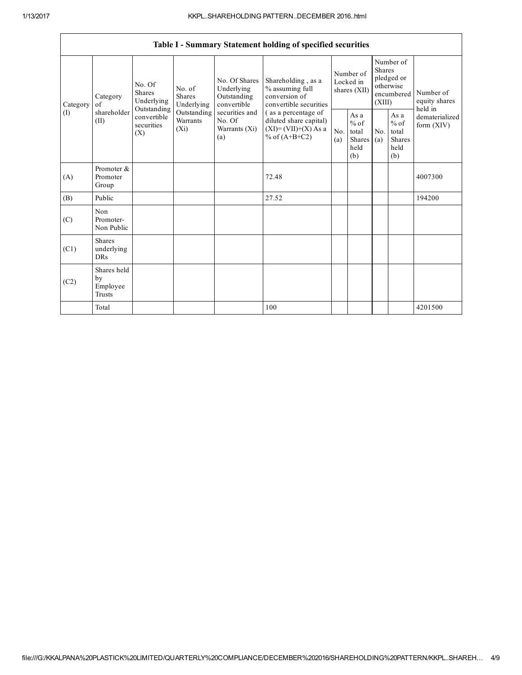$\mathsf{r}$ 

 $\overline{\phantom{0}}$ 

| Table I - Summary Statement holding of specified securities |                                           |                                                 |                                    |                                                           |                                                                                             |                                        |                                                  |                                                                               |                                                  |                                           |
|-------------------------------------------------------------|-------------------------------------------|-------------------------------------------------|------------------------------------|-----------------------------------------------------------|---------------------------------------------------------------------------------------------|----------------------------------------|--------------------------------------------------|-------------------------------------------------------------------------------|--------------------------------------------------|-------------------------------------------|
| Category                                                    | Category<br>of                            | No. Of<br><b>Shares</b><br>Underlying           | No. of<br>Shares<br>Underlying     | No. Of Shares<br>Underlying<br>Outstanding<br>convertible | Shareholding, as a<br>% assuming full<br>conversion of<br>convertible securities            | Number of<br>Locked in<br>shares (XII) |                                                  | Number of<br><b>Shares</b><br>pledged or<br>otherwise<br>encumbered<br>(XIII) |                                                  | Number of<br>equity shares                |
| (I)                                                         | shareholder<br>(II)                       | Outstanding<br>convertible<br>securities<br>(X) | Outstanding<br>Warrants<br>$(X_i)$ | securities and<br>No. Of<br>Warrants (Xi)<br>(a)          | (as a percentage of<br>diluted share capital)<br>$(XI) = (VII)+(X) As a$<br>% of $(A+B+C2)$ | N <sub>o</sub><br>(a)                  | As a<br>$%$ of<br>total<br>Shares<br>held<br>(b) | No.<br>(a)                                                                    | As a<br>$%$ of<br>total<br>Shares<br>held<br>(b) | held in<br>dematerialized<br>form $(XIV)$ |
| (A)                                                         | Promoter &<br>Promoter<br>Group           |                                                 |                                    |                                                           | 72.48                                                                                       |                                        |                                                  |                                                                               |                                                  | 4007300                                   |
| (B)                                                         | Public                                    |                                                 |                                    |                                                           | 27.52                                                                                       |                                        |                                                  |                                                                               |                                                  | 194200                                    |
| (C)                                                         | Non.<br>Promoter-<br>Non Public           |                                                 |                                    |                                                           |                                                                                             |                                        |                                                  |                                                                               |                                                  |                                           |
| (C1)                                                        | <b>Shares</b><br>underlying<br><b>DRs</b> |                                                 |                                    |                                                           |                                                                                             |                                        |                                                  |                                                                               |                                                  |                                           |
| (C2)                                                        | Shares held<br>by<br>Employee<br>Trusts   |                                                 |                                    |                                                           |                                                                                             |                                        |                                                  |                                                                               |                                                  |                                           |
|                                                             | Total                                     |                                                 |                                    |                                                           | 100                                                                                         |                                        |                                                  |                                                                               |                                                  | 4201500                                   |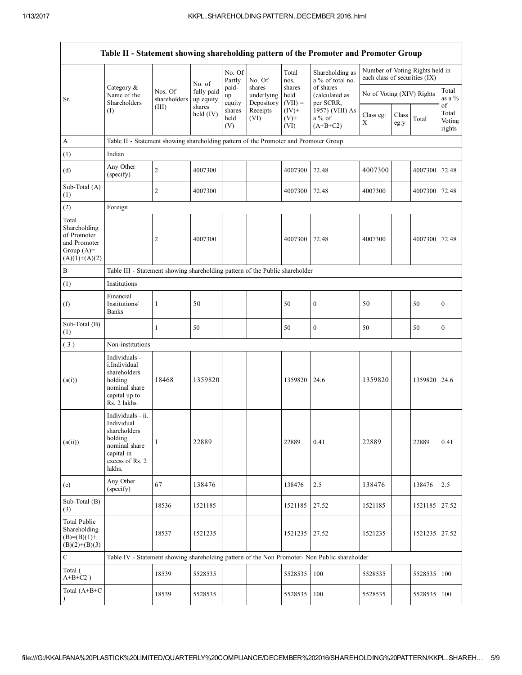| Table II - Statement showing shareholding pattern of the Promoter and Promoter Group    |                                                                                                                        |                         |                         |                       |                                    |                                              |                                                                                               |                                                                  |               |         |                           |
|-----------------------------------------------------------------------------------------|------------------------------------------------------------------------------------------------------------------------|-------------------------|-------------------------|-----------------------|------------------------------------|----------------------------------------------|-----------------------------------------------------------------------------------------------|------------------------------------------------------------------|---------------|---------|---------------------------|
|                                                                                         |                                                                                                                        |                         | No. of                  | No. Of<br>Partly      | No. Of                             | Total<br>nos.<br>shares<br>held<br>$(VII) =$ | Shareholding as<br>a % of total no.<br>of shares<br>(calculated as<br>per SCRR,               | Number of Voting Rights held in<br>each class of securities (IX) |               |         |                           |
| Sr.                                                                                     | Category $\&$<br>Name of the<br>Shareholders                                                                           | Nos. Of<br>shareholders | fully paid<br>up equity | paid-<br>up<br>equity | shares<br>underlying<br>Depository |                                              |                                                                                               | No of Voting (XIV) Rights                                        |               |         | Total<br>as a %<br>οf     |
|                                                                                         | (I)                                                                                                                    | (III)                   | shares<br>held (IV)     | shares<br>held<br>(V) | Receipts<br>(VI)                   | $(IV)$ +<br>$(V)$ +<br>(VI)                  | 1957) (VIII) As<br>$a\%$ of<br>$(A+B+C2)$                                                     | Class eg:<br>X                                                   | Class<br>eg:y | Total   | Total<br>Voting<br>rights |
| A                                                                                       | Table II - Statement showing shareholding pattern of the Promoter and Promoter Group                                   |                         |                         |                       |                                    |                                              |                                                                                               |                                                                  |               |         |                           |
| (1)                                                                                     | Indian                                                                                                                 |                         |                         |                       |                                    |                                              |                                                                                               |                                                                  |               |         |                           |
| (d)                                                                                     | Any Other<br>(specify)                                                                                                 | $\sqrt{2}$              | 4007300                 |                       |                                    | 4007300                                      | 72.48                                                                                         | 4007300                                                          |               | 4007300 | 72.48                     |
| Sub-Total (A)<br>(1)                                                                    |                                                                                                                        | $\sqrt{2}$              | 4007300                 |                       |                                    | 4007300                                      | 72.48                                                                                         | 4007300                                                          |               | 4007300 | 72.48                     |
| (2)                                                                                     | Foreign                                                                                                                |                         |                         |                       |                                    |                                              |                                                                                               |                                                                  |               |         |                           |
| Total<br>Shareholding<br>of Promoter<br>and Promoter<br>Group $(A)=$<br>$(A)(1)+(A)(2)$ |                                                                                                                        | $\overline{2}$          | 4007300                 |                       |                                    | 4007300                                      | 72.48                                                                                         | 4007300                                                          |               | 4007300 | 72.48                     |
| $\, {\bf B}$                                                                            | Table III - Statement showing shareholding pattern of the Public shareholder                                           |                         |                         |                       |                                    |                                              |                                                                                               |                                                                  |               |         |                           |
| (1)                                                                                     | Institutions                                                                                                           |                         |                         |                       |                                    |                                              |                                                                                               |                                                                  |               |         |                           |
| (f)                                                                                     | Financial<br>Institutions/<br><b>Banks</b>                                                                             | $\mathbf{1}$            | 50                      |                       |                                    | 50                                           | $\boldsymbol{0}$                                                                              | 50                                                               |               | 50      | $\boldsymbol{0}$          |
| Sub-Total (B)<br>(1)                                                                    |                                                                                                                        | $\mathbf{1}$            | 50                      |                       |                                    | 50                                           | $\boldsymbol{0}$                                                                              | 50                                                               |               | 50      | $\boldsymbol{0}$          |
| (3)                                                                                     | Non-institutions                                                                                                       |                         |                         |                       |                                    |                                              |                                                                                               |                                                                  |               |         |                           |
| (a(i))                                                                                  | Individuals -<br>i.Individual<br>shareholders<br>holding<br>nominal share<br>capital up to<br>Rs. 2 lakhs.             | 18468                   | 1359820                 |                       |                                    | 1359820                                      | 24.6                                                                                          | 1359820                                                          |               | 1359820 | 24.6                      |
| (a(ii))                                                                                 | Individuals - ii.<br>Individual<br>shareholders<br>holding<br>nominal share<br>capital in<br>excess of Rs. 2<br>lakhs. | 1                       | 22889                   |                       |                                    | 22889                                        | 0.41                                                                                          | 22889                                                            |               | 22889   | 0.41                      |
| (e)                                                                                     | Any Other<br>(specify)                                                                                                 | 67                      | 138476                  |                       |                                    | 138476                                       | 2.5                                                                                           | 138476                                                           |               | 138476  | 2.5                       |
| Sub-Total (B)<br>(3)                                                                    |                                                                                                                        | 18536                   | 1521185                 |                       |                                    | 1521185                                      | 27.52                                                                                         | 1521185                                                          |               | 1521185 | 27.52                     |
| <b>Total Public</b><br>Shareholding<br>$(B)=(B)(1)+$<br>$(B)(2)+(B)(3)$                 |                                                                                                                        | 18537                   | 1521235                 |                       |                                    | 1521235                                      | 27.52                                                                                         | 1521235                                                          |               | 1521235 | 27.52                     |
| $\mathbf C$                                                                             |                                                                                                                        |                         |                         |                       |                                    |                                              | Table IV - Statement showing shareholding pattern of the Non Promoter- Non Public shareholder |                                                                  |               |         |                           |
| Total (<br>$A+B+C2$ )                                                                   |                                                                                                                        | 18539                   | 5528535                 |                       |                                    | 5528535                                      | 100                                                                                           | 5528535                                                          |               | 5528535 | 100                       |
| Total (A+B+C                                                                            |                                                                                                                        | 18539                   | 5528535                 |                       |                                    | 5528535                                      | 100                                                                                           | 5528535                                                          |               | 5528535 | 100                       |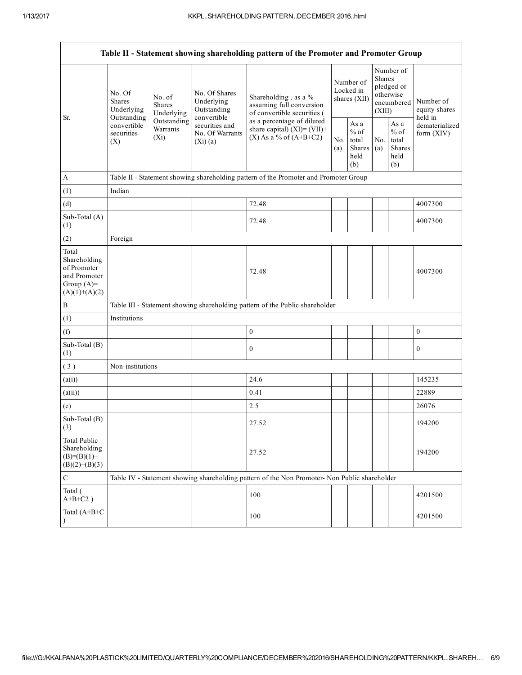| Table II - Statement showing shareholding pattern of the Promoter and Promoter Group    |                                                 |                                       |                                                                                                           |                                                                                                                                                                                |                                        |                                                  |                                                                               |                                                  |                                         |
|-----------------------------------------------------------------------------------------|-------------------------------------------------|---------------------------------------|-----------------------------------------------------------------------------------------------------------|--------------------------------------------------------------------------------------------------------------------------------------------------------------------------------|----------------------------------------|--------------------------------------------------|-------------------------------------------------------------------------------|--------------------------------------------------|-----------------------------------------|
| Sr.                                                                                     | No. Of<br>Shares<br>Underlying                  | No. of<br><b>Shares</b><br>Underlying | No. Of Shares<br>Underlying<br>Outstanding<br>convertible<br>securities and<br>No. Of Warrants<br>(Xi)(a) | Shareholding, as a %<br>assuming full conversion<br>of convertible securities (<br>as a percentage of diluted<br>share capital) $(XI) = (VII) +$<br>$(X)$ As a % of $(A+B+C2)$ | Number of<br>Locked in<br>shares (XII) |                                                  | Number of<br><b>Shares</b><br>pledged or<br>otherwise<br>encumbered<br>(XIII) |                                                  | Number of<br>equity shares              |
|                                                                                         | Outstanding<br>convertible<br>securities<br>(X) | Outstanding<br>Warrants<br>$(X_i)$    |                                                                                                           |                                                                                                                                                                                | No.<br>(a)                             | As a<br>$%$ of<br>total<br>Shares<br>held<br>(b) | N <sub>0</sub><br>(a)                                                         | As a<br>$%$ of<br>total<br>Shares<br>held<br>(b) | held in<br>dematerialized<br>form (XIV) |
| $\boldsymbol{A}$                                                                        |                                                 |                                       |                                                                                                           | Table II - Statement showing shareholding pattern of the Promoter and Promoter Group                                                                                           |                                        |                                                  |                                                                               |                                                  |                                         |
| (1)                                                                                     | Indian                                          |                                       |                                                                                                           |                                                                                                                                                                                |                                        |                                                  |                                                                               |                                                  |                                         |
| (d)                                                                                     |                                                 |                                       |                                                                                                           | 72.48                                                                                                                                                                          |                                        |                                                  |                                                                               |                                                  | 4007300                                 |
| Sub-Total (A)<br>(1)                                                                    |                                                 |                                       |                                                                                                           | 72.48                                                                                                                                                                          |                                        |                                                  |                                                                               |                                                  | 4007300                                 |
| (2)                                                                                     | Foreign                                         |                                       |                                                                                                           |                                                                                                                                                                                |                                        |                                                  |                                                                               |                                                  |                                         |
| Total<br>Shareholding<br>of Promoter<br>and Promoter<br>Group $(A)=$<br>$(A)(1)+(A)(2)$ |                                                 |                                       |                                                                                                           | 72.48                                                                                                                                                                          |                                        |                                                  |                                                                               |                                                  | 4007300                                 |
| $\bf{B}$                                                                                |                                                 |                                       |                                                                                                           | Table III - Statement showing shareholding pattern of the Public shareholder                                                                                                   |                                        |                                                  |                                                                               |                                                  |                                         |
| (1)                                                                                     | Institutions                                    |                                       |                                                                                                           |                                                                                                                                                                                |                                        |                                                  |                                                                               |                                                  |                                         |
| (f)                                                                                     |                                                 |                                       |                                                                                                           | $\boldsymbol{0}$                                                                                                                                                               |                                        |                                                  |                                                                               |                                                  | $\boldsymbol{0}$                        |
| Sub-Total (B)<br>(1)                                                                    |                                                 |                                       |                                                                                                           | $\boldsymbol{0}$                                                                                                                                                               |                                        |                                                  |                                                                               |                                                  | $\boldsymbol{0}$                        |
| (3)                                                                                     | Non-institutions                                |                                       |                                                                                                           |                                                                                                                                                                                |                                        |                                                  |                                                                               |                                                  |                                         |
| (a(i))                                                                                  |                                                 |                                       |                                                                                                           | 24.6                                                                                                                                                                           |                                        |                                                  |                                                                               |                                                  | 145235                                  |
| (a(ii))                                                                                 |                                                 |                                       |                                                                                                           | 0.41                                                                                                                                                                           |                                        |                                                  |                                                                               |                                                  | 22889                                   |
| (e)                                                                                     |                                                 |                                       |                                                                                                           | 2.5                                                                                                                                                                            |                                        |                                                  |                                                                               |                                                  | 26076                                   |
| Sub-Total (B)<br>(3)                                                                    |                                                 |                                       |                                                                                                           | 27.52                                                                                                                                                                          |                                        |                                                  |                                                                               |                                                  | 194200                                  |
| <b>Total Public</b><br>Shareholding<br>$(B)=(B)(1)+$<br>$(B)(2)+(B)(3)$                 |                                                 |                                       |                                                                                                           | 27.52                                                                                                                                                                          |                                        |                                                  |                                                                               |                                                  | 194200                                  |
| $\mathbf C$                                                                             |                                                 |                                       |                                                                                                           | Table IV - Statement showing shareholding pattern of the Non Promoter- Non Public shareholder                                                                                  |                                        |                                                  |                                                                               |                                                  |                                         |
| Total (<br>$A+B+C2$ )                                                                   |                                                 |                                       |                                                                                                           | 100                                                                                                                                                                            |                                        |                                                  |                                                                               |                                                  | 4201500                                 |
| Total (A+B+C<br>$\lambda$                                                               |                                                 |                                       |                                                                                                           | 100                                                                                                                                                                            |                                        |                                                  |                                                                               |                                                  | 4201500                                 |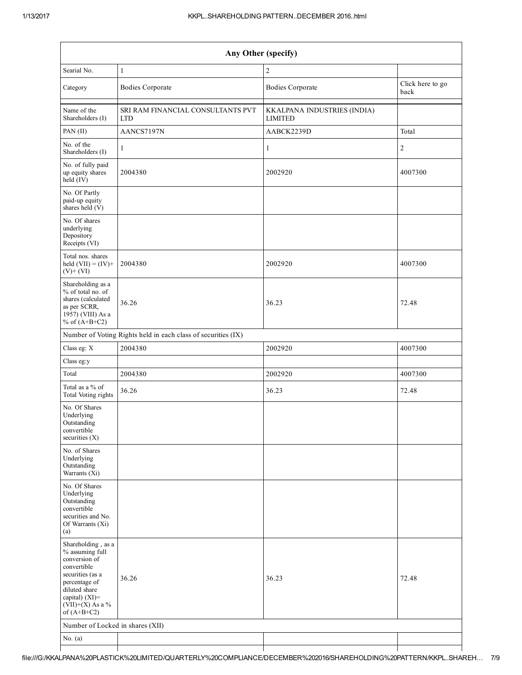| Any Other (specify)                                                                                                                                                                  |                                                               |                                               |                          |  |  |  |  |  |
|--------------------------------------------------------------------------------------------------------------------------------------------------------------------------------------|---------------------------------------------------------------|-----------------------------------------------|--------------------------|--|--|--|--|--|
| Searial No.                                                                                                                                                                          | $\mathbf{1}$                                                  | $\overline{c}$                                |                          |  |  |  |  |  |
| Category                                                                                                                                                                             | <b>Bodies Corporate</b>                                       | <b>Bodies Corporate</b>                       | Click here to go<br>back |  |  |  |  |  |
| Name of the<br>Shareholders (I)                                                                                                                                                      | SRI RAM FINANCIAL CONSULTANTS PVT<br><b>LTD</b>               | KKALPANA INDUSTRIES (INDIA)<br><b>LIMITED</b> |                          |  |  |  |  |  |
| PAN (II)                                                                                                                                                                             | AANCS7197N                                                    | AABCK2239D                                    | Total                    |  |  |  |  |  |
| No. of the<br>Shareholders (I)                                                                                                                                                       | $\mathbf{1}$                                                  | 1                                             | $\overline{c}$           |  |  |  |  |  |
| No. of fully paid<br>up equity shares<br>$held$ (IV)                                                                                                                                 | 2004380                                                       | 2002920                                       | 4007300                  |  |  |  |  |  |
| No. Of Partly<br>paid-up equity<br>shares held (V)                                                                                                                                   |                                                               |                                               |                          |  |  |  |  |  |
| No. Of shares<br>underlying<br>Depository<br>Receipts (VI)                                                                                                                           |                                                               |                                               |                          |  |  |  |  |  |
| Total nos. shares<br>held $(VII) = (IV) +$<br>$(V)+(VI)$                                                                                                                             | 2004380                                                       | 2002920                                       | 4007300                  |  |  |  |  |  |
| Shareholding as a<br>% of total no. of<br>shares (calculated<br>as per SCRR,<br>$19\overline{57}$ ) (VIII) As a<br>% of $(A+B+C2)$                                                   | 36.26                                                         | 36.23                                         | 72.48                    |  |  |  |  |  |
|                                                                                                                                                                                      | Number of Voting Rights held in each class of securities (IX) |                                               |                          |  |  |  |  |  |
| Class eg: X                                                                                                                                                                          | 2004380                                                       | 2002920                                       | 4007300                  |  |  |  |  |  |
| Class eg:y                                                                                                                                                                           |                                                               |                                               |                          |  |  |  |  |  |
| Total                                                                                                                                                                                | 2004380                                                       | 2002920                                       | 4007300                  |  |  |  |  |  |
| Total as a % of<br>Total Voting rights                                                                                                                                               | 36.26                                                         | 36.23                                         | 72.48                    |  |  |  |  |  |
| No. Of Shares<br>Underlying<br>Outstanding<br>convertible<br>securities $(X)$                                                                                                        |                                                               |                                               |                          |  |  |  |  |  |
| No. of Shares<br>Underlying<br>Outstanding<br>Warrants (Xi)                                                                                                                          |                                                               |                                               |                          |  |  |  |  |  |
| No. Of Shares<br>Underlying<br>Outstanding<br>convertible<br>securities and No.<br>Of Warrants (Xi)<br>(a)                                                                           |                                                               |                                               |                          |  |  |  |  |  |
| Shareholding, as a<br>% assuming full<br>conversion of<br>convertible<br>securities (as a<br>percentage of<br>diluted share<br>capital) (XI)=<br>$(VII)+(X)$ As a %<br>of $(A+B+C2)$ | 36.26                                                         | 36.23                                         | 72.48                    |  |  |  |  |  |
| Number of Locked in shares (XII)                                                                                                                                                     |                                                               |                                               |                          |  |  |  |  |  |
| No. $(a)$                                                                                                                                                                            |                                                               |                                               |                          |  |  |  |  |  |
|                                                                                                                                                                                      |                                                               |                                               |                          |  |  |  |  |  |